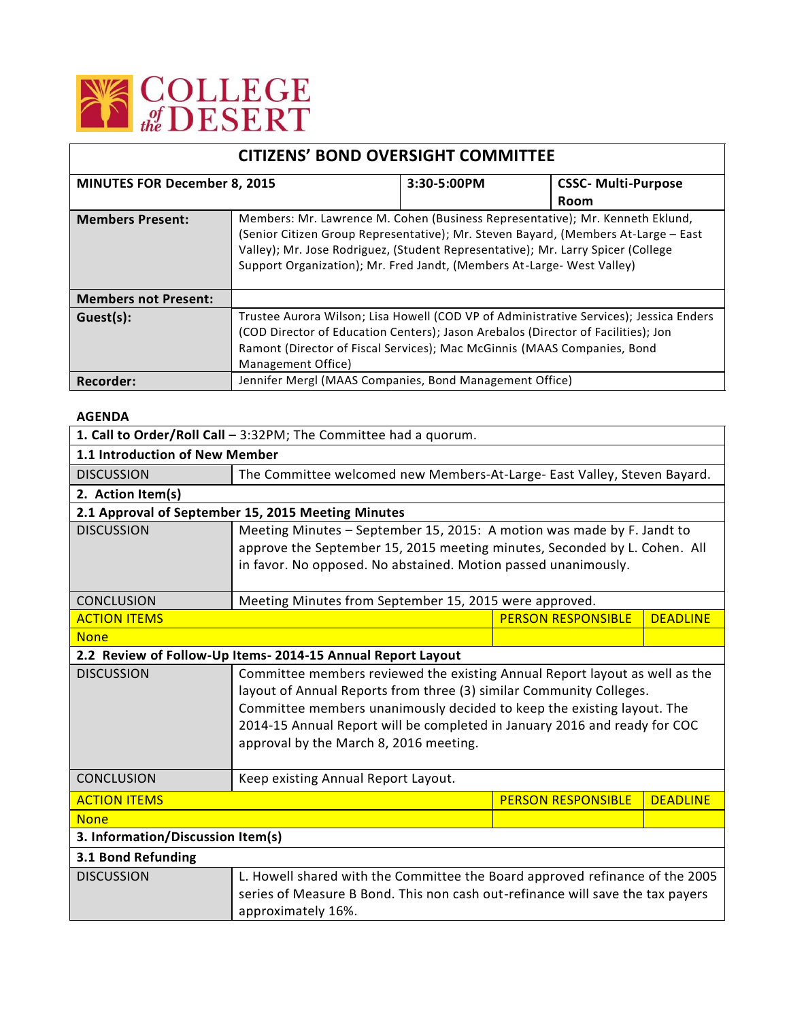

|                                     | <b>CITIZENS' BOND OVERSIGHT COMMITTEE</b>                                                                                                                                                                                                                                                                                         |             |                            |  |
|-------------------------------------|-----------------------------------------------------------------------------------------------------------------------------------------------------------------------------------------------------------------------------------------------------------------------------------------------------------------------------------|-------------|----------------------------|--|
| <b>MINUTES FOR December 8, 2015</b> |                                                                                                                                                                                                                                                                                                                                   | 3:30-5:00PM | <b>CSSC- Multi-Purpose</b> |  |
|                                     |                                                                                                                                                                                                                                                                                                                                   |             | Room                       |  |
| <b>Members Present:</b>             | Members: Mr. Lawrence M. Cohen (Business Representative); Mr. Kenneth Eklund,<br>(Senior Citizen Group Representative); Mr. Steven Bayard, (Members At-Large - East<br>Valley); Mr. Jose Rodriguez, (Student Representative); Mr. Larry Spicer (College<br>Support Organization); Mr. Fred Jandt, (Members At-Large- West Valley) |             |                            |  |
| <b>Members not Present:</b>         |                                                                                                                                                                                                                                                                                                                                   |             |                            |  |
| Guest(s):                           | Trustee Aurora Wilson; Lisa Howell (COD VP of Administrative Services); Jessica Enders<br>(COD Director of Education Centers); Jason Arebalos (Director of Facilities); Jon<br>Ramont (Director of Fiscal Services); Mac McGinnis (MAAS Companies, Bond<br>Management Office)                                                     |             |                            |  |
| Recorder:                           | Jennifer Mergl (MAAS Companies, Bond Management Office)                                                                                                                                                                                                                                                                           |             |                            |  |

## **AGENDA**

| 1. Call to Order/Roll Call - 3:32PM; The Committee had a quorum. |                                                                                |                           |                 |  |  |
|------------------------------------------------------------------|--------------------------------------------------------------------------------|---------------------------|-----------------|--|--|
| 1.1 Introduction of New Member                                   |                                                                                |                           |                 |  |  |
| <b>DISCUSSION</b>                                                | The Committee welcomed new Members-At-Large- East Valley, Steven Bayard.       |                           |                 |  |  |
| 2. Action Item(s)                                                |                                                                                |                           |                 |  |  |
|                                                                  | 2.1 Approval of September 15, 2015 Meeting Minutes                             |                           |                 |  |  |
| <b>DISCUSSION</b>                                                | Meeting Minutes - September 15, 2015: A motion was made by F. Jandt to         |                           |                 |  |  |
|                                                                  | approve the September 15, 2015 meeting minutes, Seconded by L. Cohen. All      |                           |                 |  |  |
|                                                                  | in favor. No opposed. No abstained. Motion passed unanimously.                 |                           |                 |  |  |
|                                                                  |                                                                                |                           |                 |  |  |
| <b>CONCLUSION</b>                                                | Meeting Minutes from September 15, 2015 were approved.                         |                           |                 |  |  |
| <b>ACTION ITEMS</b>                                              |                                                                                | <b>PERSON RESPONSIBLE</b> | <b>DEADLINE</b> |  |  |
| <b>None</b>                                                      |                                                                                |                           |                 |  |  |
|                                                                  | 2.2 Review of Follow-Up Items-2014-15 Annual Report Layout                     |                           |                 |  |  |
| <b>DISCUSSION</b>                                                | Committee members reviewed the existing Annual Report layout as well as the    |                           |                 |  |  |
|                                                                  | layout of Annual Reports from three (3) similar Community Colleges.            |                           |                 |  |  |
|                                                                  | Committee members unanimously decided to keep the existing layout. The         |                           |                 |  |  |
|                                                                  | 2014-15 Annual Report will be completed in January 2016 and ready for COC      |                           |                 |  |  |
|                                                                  | approval by the March 8, 2016 meeting.                                         |                           |                 |  |  |
|                                                                  |                                                                                |                           |                 |  |  |
|                                                                  | <b>CONCLUSION</b><br>Keep existing Annual Report Layout.                       |                           |                 |  |  |
| <b>ACTION ITEMS</b>                                              |                                                                                | <b>PERSON RESPONSIBLE</b> | <b>DEADLINE</b> |  |  |
| <b>None</b>                                                      |                                                                                |                           |                 |  |  |
| 3. Information/Discussion Item(s)                                |                                                                                |                           |                 |  |  |
| 3.1 Bond Refunding                                               |                                                                                |                           |                 |  |  |
| <b>DISCUSSION</b>                                                | L. Howell shared with the Committee the Board approved refinance of the 2005   |                           |                 |  |  |
|                                                                  | series of Measure B Bond. This non cash out-refinance will save the tax payers |                           |                 |  |  |
|                                                                  | approximately 16%.                                                             |                           |                 |  |  |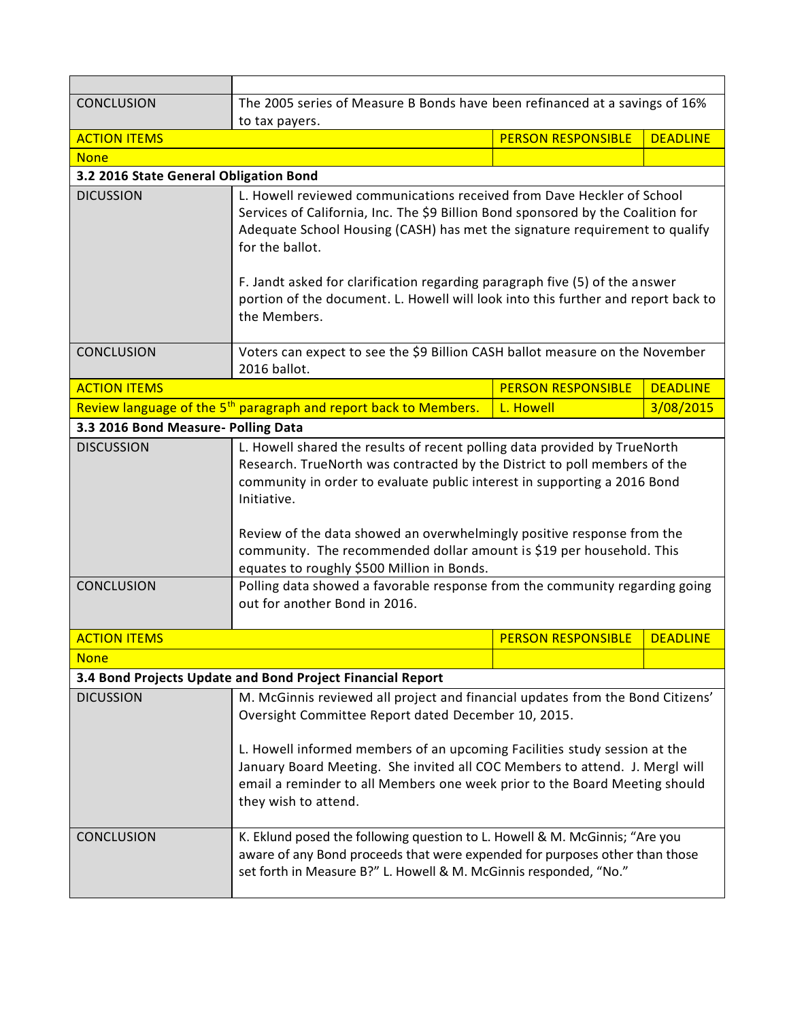| <b>CONCLUSION</b>                      | The 2005 series of Measure B Bonds have been refinanced at a savings of 16%                                                                                                                                                                                                                                                                                                                                                                                                                                                                                       |                           |                 |  |  |
|----------------------------------------|-------------------------------------------------------------------------------------------------------------------------------------------------------------------------------------------------------------------------------------------------------------------------------------------------------------------------------------------------------------------------------------------------------------------------------------------------------------------------------------------------------------------------------------------------------------------|---------------------------|-----------------|--|--|
|                                        | to tax payers.                                                                                                                                                                                                                                                                                                                                                                                                                                                                                                                                                    |                           |                 |  |  |
| <b>ACTION ITEMS</b>                    |                                                                                                                                                                                                                                                                                                                                                                                                                                                                                                                                                                   | <b>PERSON RESPONSIBLE</b> | <b>DEADLINE</b> |  |  |
| <b>None</b>                            |                                                                                                                                                                                                                                                                                                                                                                                                                                                                                                                                                                   |                           |                 |  |  |
| 3.2 2016 State General Obligation Bond |                                                                                                                                                                                                                                                                                                                                                                                                                                                                                                                                                                   |                           |                 |  |  |
| <b>DICUSSION</b>                       | L. Howell reviewed communications received from Dave Heckler of School<br>Services of California, Inc. The \$9 Billion Bond sponsored by the Coalition for<br>Adequate School Housing (CASH) has met the signature requirement to qualify<br>for the ballot.                                                                                                                                                                                                                                                                                                      |                           |                 |  |  |
|                                        | F. Jandt asked for clarification regarding paragraph five (5) of the answer<br>portion of the document. L. Howell will look into this further and report back to<br>the Members.                                                                                                                                                                                                                                                                                                                                                                                  |                           |                 |  |  |
| <b>CONCLUSION</b>                      | Voters can expect to see the \$9 Billion CASH ballot measure on the November<br>2016 ballot.                                                                                                                                                                                                                                                                                                                                                                                                                                                                      |                           |                 |  |  |
| <b>ACTION ITEMS</b>                    |                                                                                                                                                                                                                                                                                                                                                                                                                                                                                                                                                                   | <b>PERSON RESPONSIBLE</b> | <b>DEADLINE</b> |  |  |
|                                        | Review language of the 5 <sup>th</sup> paragraph and report back to Members.                                                                                                                                                                                                                                                                                                                                                                                                                                                                                      | L. Howell                 | 3/08/2015       |  |  |
| 3.3 2016 Bond Measure- Polling Data    |                                                                                                                                                                                                                                                                                                                                                                                                                                                                                                                                                                   |                           |                 |  |  |
| <b>DISCUSSION</b><br><b>CONCLUSION</b> | L. Howell shared the results of recent polling data provided by TrueNorth<br>Research. TrueNorth was contracted by the District to poll members of the<br>community in order to evaluate public interest in supporting a 2016 Bond<br>Initiative.<br>Review of the data showed an overwhelmingly positive response from the<br>community. The recommended dollar amount is \$19 per household. This<br>equates to roughly \$500 Million in Bonds.<br>Polling data showed a favorable response from the community regarding going<br>out for another Bond in 2016. |                           |                 |  |  |
|                                        |                                                                                                                                                                                                                                                                                                                                                                                                                                                                                                                                                                   |                           |                 |  |  |
| <b>ACTION ITEMS</b>                    |                                                                                                                                                                                                                                                                                                                                                                                                                                                                                                                                                                   | <b>PERSON RESPONSIBLE</b> | <b>DEADLINE</b> |  |  |
| <b>None</b>                            |                                                                                                                                                                                                                                                                                                                                                                                                                                                                                                                                                                   |                           |                 |  |  |
|                                        | 3.4 Bond Projects Update and Bond Project Financial Report                                                                                                                                                                                                                                                                                                                                                                                                                                                                                                        |                           |                 |  |  |
| <b>DICUSSION</b>                       | M. McGinnis reviewed all project and financial updates from the Bond Citizens'<br>Oversight Committee Report dated December 10, 2015.<br>L. Howell informed members of an upcoming Facilities study session at the<br>January Board Meeting. She invited all COC Members to attend. J. Mergl will<br>email a reminder to all Members one week prior to the Board Meeting should<br>they wish to attend.                                                                                                                                                           |                           |                 |  |  |
| <b>CONCLUSION</b>                      | K. Eklund posed the following question to L. Howell & M. McGinnis; "Are you<br>aware of any Bond proceeds that were expended for purposes other than those<br>set forth in Measure B?" L. Howell & M. McGinnis responded, "No."                                                                                                                                                                                                                                                                                                                                   |                           |                 |  |  |